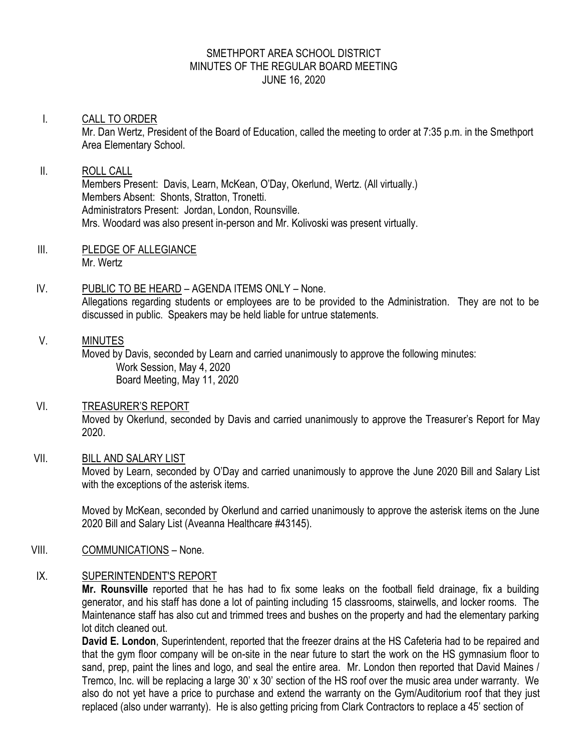# SMETHPORT AREA SCHOOL DISTRICT MINUTES OF THE REGULAR BOARD MEETING JUNE 16, 2020

# I. CALL TO ORDER Mr. Dan Wertz, President of the Board of Education, called the meeting to order at 7:35 p.m. in the Smethport Area Elementary School.

# II. ROLL CALL Members Present: Davis, Learn, McKean, O'Day, Okerlund, Wertz. (All virtually.) Members Absent: Shonts, Stratton, Tronetti. Administrators Present: Jordan, London, Rounsville.

- Mrs. Woodard was also present in-person and Mr. Kolivoski was present virtually.
- III. PLEDGE OF ALLEGIANCE Mr. Wertz

# IV. PUBLIC TO BE HEARD – AGENDA ITEMS ONLY – None. Allegations regarding students or employees are to be provided to the Administration. They are not to be discussed in public. Speakers may be held liable for untrue statements.

# V. MINUTES

Moved by Davis, seconded by Learn and carried unanimously to approve the following minutes: Work Session, May 4, 2020 Board Meeting, May 11, 2020

# VI. TREASURER'S REPORT

Moved by Okerlund, seconded by Davis and carried unanimously to approve the Treasurer's Report for May 2020.

# VII. BILL AND SALARY LIST

Moved by Learn, seconded by O'Day and carried unanimously to approve the June 2020 Bill and Salary List with the exceptions of the asterisk items.

Moved by McKean, seconded by Okerlund and carried unanimously to approve the asterisk items on the June 2020 Bill and Salary List (Aveanna Healthcare #43145).

# VIII. COMMUNICATIONS – None.

# IX. SUPERINTENDENT'S REPORT

**Mr. Rounsville** reported that he has had to fix some leaks on the football field drainage, fix a building generator, and his staff has done a lot of painting including 15 classrooms, stairwells, and locker rooms. The Maintenance staff has also cut and trimmed trees and bushes on the property and had the elementary parking lot ditch cleaned out.

**David E. London**, Superintendent, reported that the freezer drains at the HS Cafeteria had to be repaired and that the gym floor company will be on-site in the near future to start the work on the HS gymnasium floor to sand, prep, paint the lines and logo, and seal the entire area. Mr. London then reported that David Maines / Tremco, Inc. will be replacing a large 30' x 30' section of the HS roof over the music area under warranty. We also do not yet have a price to purchase and extend the warranty on the Gym/Auditorium roof that they just replaced (also under warranty). He is also getting pricing from Clark Contractors to replace a 45' section of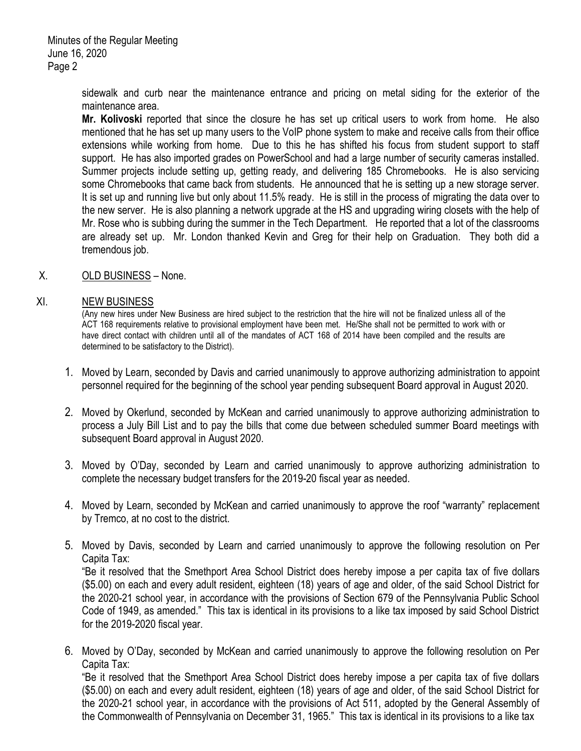sidewalk and curb near the maintenance entrance and pricing on metal siding for the exterior of the maintenance area.

**Mr. Kolivoski** reported that since the closure he has set up critical users to work from home. He also mentioned that he has set up many users to the VoIP phone system to make and receive calls from their office extensions while working from home. Due to this he has shifted his focus from student support to staff support. He has also imported grades on PowerSchool and had a large number of security cameras installed. Summer projects include setting up, getting ready, and delivering 185 Chromebooks. He is also servicing some Chromebooks that came back from students. He announced that he is setting up a new storage server. It is set up and running live but only about 11.5% ready. He is still in the process of migrating the data over to the new server. He is also planning a network upgrade at the HS and upgrading wiring closets with the help of Mr. Rose who is subbing during the summer in the Tech Department. He reported that a lot of the classrooms are already set up. Mr. London thanked Kevin and Greg for their help on Graduation. They both did a tremendous job.

# X. OLD BUSINESS – None.

#### XI. NEW BUSINESS

(Any new hires under New Business are hired subject to the restriction that the hire will not be finalized unless all of the ACT 168 requirements relative to provisional employment have been met. He/She shall not be permitted to work with or have direct contact with children until all of the mandates of ACT 168 of 2014 have been compiled and the results are determined to be satisfactory to the District).

- 1. Moved by Learn, seconded by Davis and carried unanimously to approve authorizing administration to appoint personnel required for the beginning of the school year pending subsequent Board approval in August 2020.
- 2. Moved by Okerlund, seconded by McKean and carried unanimously to approve authorizing administration to process a July Bill List and to pay the bills that come due between scheduled summer Board meetings with subsequent Board approval in August 2020.
- 3. Moved by O'Day, seconded by Learn and carried unanimously to approve authorizing administration to complete the necessary budget transfers for the 2019-20 fiscal year as needed.
- 4. Moved by Learn, seconded by McKean and carried unanimously to approve the roof "warranty" replacement by Tremco, at no cost to the district.
- 5. Moved by Davis, seconded by Learn and carried unanimously to approve the following resolution on Per Capita Tax:

"Be it resolved that the Smethport Area School District does hereby impose a per capita tax of five dollars (\$5.00) on each and every adult resident, eighteen (18) years of age and older, of the said School District for the 2020-21 school year, in accordance with the provisions of Section 679 of the Pennsylvania Public School Code of 1949, as amended." This tax is identical in its provisions to a like tax imposed by said School District for the 2019-2020 fiscal year.

6. Moved by O'Day, seconded by McKean and carried unanimously to approve the following resolution on Per Capita Tax:

"Be it resolved that the Smethport Area School District does hereby impose a per capita tax of five dollars (\$5.00) on each and every adult resident, eighteen (18) years of age and older, of the said School District for the 2020-21 school year, in accordance with the provisions of Act 511, adopted by the General Assembly of the Commonwealth of Pennsylvania on December 31, 1965." This tax is identical in its provisions to a like tax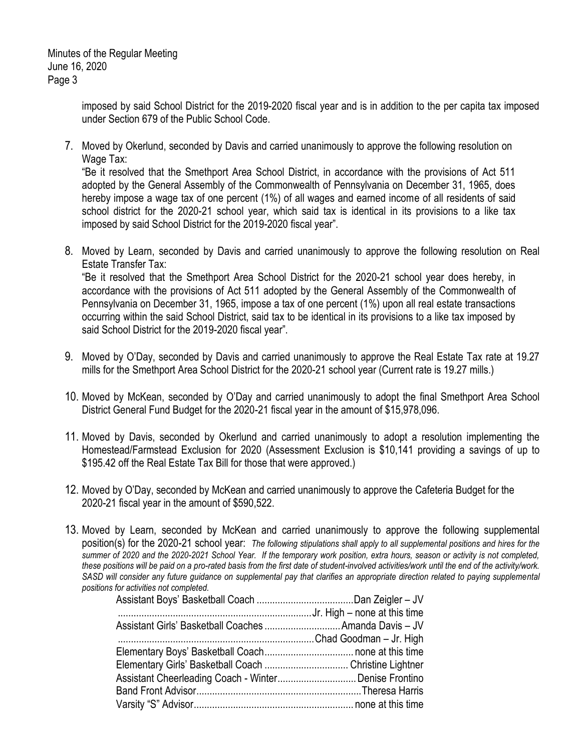Minutes of the Regular Meeting June 16, 2020 Page 3

> imposed by said School District for the 2019-2020 fiscal year and is in addition to the per capita tax imposed under Section 679 of the Public School Code.

7. Moved by Okerlund, seconded by Davis and carried unanimously to approve the following resolution on Wage Tax:

"Be it resolved that the Smethport Area School District, in accordance with the provisions of Act 511 adopted by the General Assembly of the Commonwealth of Pennsylvania on December 31, 1965, does hereby impose a wage tax of one percent (1%) of all wages and earned income of all residents of said school district for the 2020-21 school year, which said tax is identical in its provisions to a like tax imposed by said School District for the 2019-2020 fiscal year".

- 8. Moved by Learn, seconded by Davis and carried unanimously to approve the following resolution on Real Estate Transfer Tax: "Be it resolved that the Smethport Area School District for the 2020-21 school year does hereby, in accordance with the provisions of Act 511 adopted by the General Assembly of the Commonwealth of Pennsylvania on December 31, 1965, impose a tax of one percent (1%) upon all real estate transactions occurring within the said School District, said tax to be identical in its provisions to a like tax imposed by said School District for the 2019-2020 fiscal year".
- 9. Moved by O'Day, seconded by Davis and carried unanimously to approve the Real Estate Tax rate at 19.27 mills for the Smethport Area School District for the 2020-21 school year (Current rate is 19.27 mills.)
- 10. Moved by McKean, seconded by O'Day and carried unanimously to adopt the final Smethport Area School District General Fund Budget for the 2020-21 fiscal year in the amount of \$15,978,096.
- 11. Moved by Davis, seconded by Okerlund and carried unanimously to adopt a resolution implementing the Homestead/Farmstead Exclusion for 2020 (Assessment Exclusion is \$10,141 providing a savings of up to \$195.42 off the Real Estate Tax Bill for those that were approved.)
- 12. Moved by O'Day, seconded by McKean and carried unanimously to approve the Cafeteria Budget for the 2020-21 fiscal year in the amount of \$590,522.
- 13. Moved by Learn, seconded by McKean and carried unanimously to approve the following supplemental position(s) for the 2020-21 school year: *The following stipulations shall apply to all supplemental positions and hires for the summer of 2020 and the 2020-2021 School Year. If the temporary work position, extra hours, season or activity is not completed, these positions will be paid on a pro-rated basis from the first date of student-involved activities/work until the end of the activity/work.*  SASD will consider any future guidance on supplemental pay that clarifies an appropriate direction related to paying supplemental *positions for activities not completed.*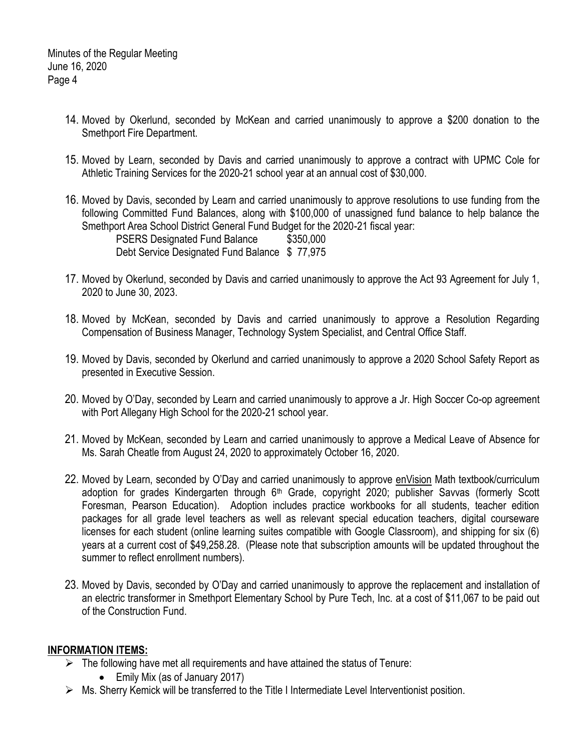- 14. Moved by Okerlund, seconded by McKean and carried unanimously to approve a \$200 donation to the Smethport Fire Department.
- 15. Moved by Learn, seconded by Davis and carried unanimously to approve a contract with UPMC Cole for Athletic Training Services for the 2020-21 school year at an annual cost of \$30,000.
- 16. Moved by Davis, seconded by Learn and carried unanimously to approve resolutions to use funding from the following Committed Fund Balances, along with \$100,000 of unassigned fund balance to help balance the Smethport Area School District General Fund Budget for the 2020-21 fiscal year: PSERS Designated Fund Balance \$350,000
	- Debt Service Designated Fund Balance \$ 77,975
- 17. Moved by Okerlund, seconded by Davis and carried unanimously to approve the Act 93 Agreement for July 1, 2020 to June 30, 2023.
- 18. Moved by McKean, seconded by Davis and carried unanimously to approve a Resolution Regarding Compensation of Business Manager, Technology System Specialist, and Central Office Staff.
- 19. Moved by Davis, seconded by Okerlund and carried unanimously to approve a 2020 School Safety Report as presented in Executive Session.
- 20. Moved by O'Day, seconded by Learn and carried unanimously to approve a Jr. High Soccer Co-op agreement with Port Allegany High School for the 2020-21 school year.
- 21. Moved by McKean, seconded by Learn and carried unanimously to approve a Medical Leave of Absence for Ms. Sarah Cheatle from August 24, 2020 to approximately October 16, 2020.
- 22. Moved by Learn, seconded by O'Day and carried unanimously to approve enVision Math textbook/curriculum adoption for grades Kindergarten through 6<sup>th</sup> Grade, copyright 2020; publisher Savvas (formerly Scott Foresman, Pearson Education). Adoption includes practice workbooks for all students, teacher edition packages for all grade level teachers as well as relevant special education teachers, digital courseware licenses for each student (online learning suites compatible with Google Classroom), and shipping for six (6) years at a current cost of \$49,258.28. (Please note that subscription amounts will be updated throughout the summer to reflect enrollment numbers).
- 23. Moved by Davis, seconded by O'Day and carried unanimously to approve the replacement and installation of an electric transformer in Smethport Elementary School by Pure Tech, Inc. at a cost of \$11,067 to be paid out of the Construction Fund.

# **INFORMATION ITEMS:**

- $\triangleright$  The following have met all requirements and have attained the status of Tenure:
	- Emily Mix (as of January 2017)
- $\triangleright$  Ms. Sherry Kemick will be transferred to the Title I Intermediate Level Interventionist position.